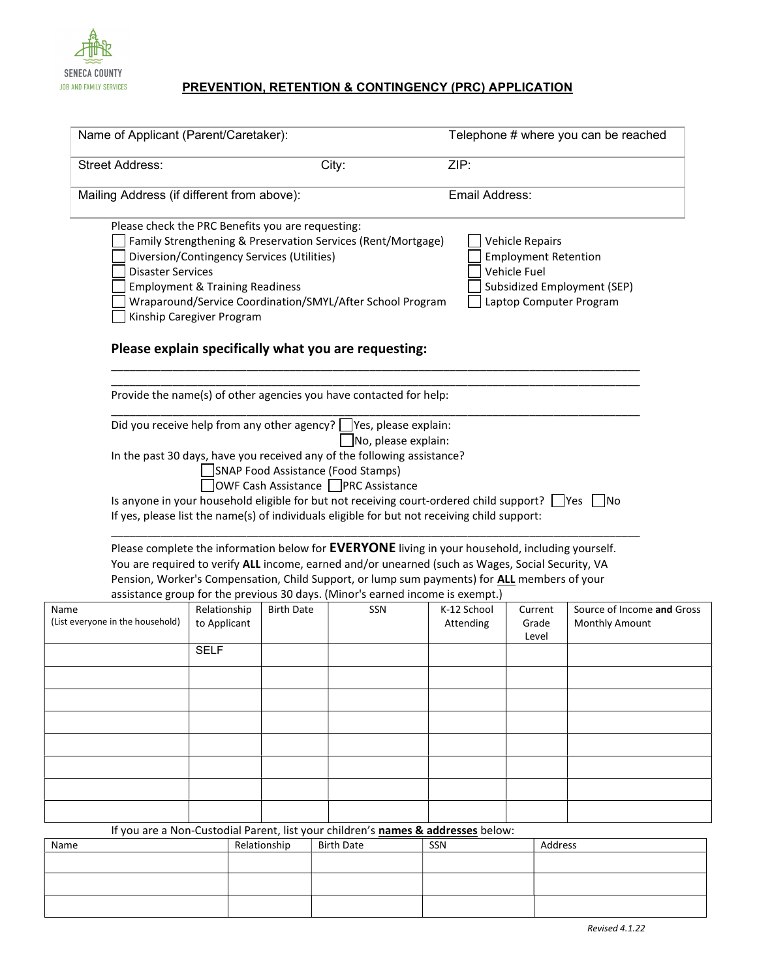

## JOB AND FAMILY SERVICES **PREVENTION, RETENTION & CONTINGENCY (PRC) APPLICATION**

|                                                                                                          | Name of Applicant (Parent/Caretaker):                                   |                                            |                                                                                                                                                                                                                                                                                                                                                                                        |                          | Telephone # where you can be reached                                                      |                                              |  |
|----------------------------------------------------------------------------------------------------------|-------------------------------------------------------------------------|--------------------------------------------|----------------------------------------------------------------------------------------------------------------------------------------------------------------------------------------------------------------------------------------------------------------------------------------------------------------------------------------------------------------------------------------|--------------------------|-------------------------------------------------------------------------------------------|----------------------------------------------|--|
| <b>Street Address:</b>                                                                                   |                                                                         |                                            | City:                                                                                                                                                                                                                                                                                                                                                                                  | ZIP:                     |                                                                                           |                                              |  |
| Mailing Address (if different from above):                                                               |                                                                         |                                            | Email Address:                                                                                                                                                                                                                                                                                                                                                                         |                          |                                                                                           |                                              |  |
| Please check the PRC Benefits you are requesting:<br><b>Disaster Services</b>                            | <b>Employment &amp; Training Readiness</b><br>Kinship Caregiver Program | Diversion/Contingency Services (Utilities) | Family Strengthening & Preservation Services (Rent/Mortgage)<br>Wraparound/Service Coordination/SMYL/After School Program<br>Please explain specifically what you are requesting:                                                                                                                                                                                                      |                          | Vehicle Repairs<br><b>Employment Retention</b><br>Vehicle Fuel<br>Laptop Computer Program | Subsidized Employment (SEP)                  |  |
|                                                                                                          |                                                                         |                                            |                                                                                                                                                                                                                                                                                                                                                                                        |                          |                                                                                           |                                              |  |
|                                                                                                          |                                                                         |                                            | Provide the name(s) of other agencies you have contacted for help:<br>Did you receive help from any other agency? Yes, please explain:                                                                                                                                                                                                                                                 |                          |                                                                                           |                                              |  |
|                                                                                                          |                                                                         |                                            | No, please explain:<br>In the past 30 days, have you received any of the following assistance?<br>SNAP Food Assistance (Food Stamps)<br>OWF Cash Assistance PRC Assistance<br>Is anyone in your household eligible for but not receiving court-ordered child support? Ves no<br>If yes, please list the name(s) of individuals eligible for but not receiving child support:           |                          |                                                                                           |                                              |  |
|                                                                                                          |                                                                         |                                            | Please complete the information below for EVERYONE living in your household, including yourself.<br>You are required to verify ALL income, earned and/or unearned (such as Wages, Social Security, VA<br>Pension, Worker's Compensation, Child Support, or lump sum payments) for ALL members of your<br>assistance group for the previous 30 days. (Minor's earned income is exempt.) |                          |                                                                                           |                                              |  |
| Name<br>(List everyone in the household)                                                                 | Relationship<br>to Applicant                                            | <b>Birth Date</b>                          | SSN                                                                                                                                                                                                                                                                                                                                                                                    | K-12 School<br>Attending | Current<br>Grade<br>Level                                                                 | Source of Income and Gross<br>Monthly Amount |  |
|                                                                                                          | <b>SELF</b>                                                             |                                            |                                                                                                                                                                                                                                                                                                                                                                                        |                          |                                                                                           |                                              |  |
|                                                                                                          |                                                                         |                                            |                                                                                                                                                                                                                                                                                                                                                                                        |                          |                                                                                           |                                              |  |
|                                                                                                          |                                                                         |                                            |                                                                                                                                                                                                                                                                                                                                                                                        |                          |                                                                                           |                                              |  |
|                                                                                                          |                                                                         |                                            |                                                                                                                                                                                                                                                                                                                                                                                        |                          |                                                                                           |                                              |  |
|                                                                                                          |                                                                         |                                            |                                                                                                                                                                                                                                                                                                                                                                                        |                          |                                                                                           |                                              |  |
|                                                                                                          |                                                                         |                                            |                                                                                                                                                                                                                                                                                                                                                                                        |                          |                                                                                           |                                              |  |
| If you are a Non-Custodial Parent, list your children's names & addresses below:<br>Name<br>Relationship |                                                                         |                                            | <b>Birth Date</b>                                                                                                                                                                                                                                                                                                                                                                      | SSN                      | Address                                                                                   |                                              |  |
|                                                                                                          |                                                                         |                                            |                                                                                                                                                                                                                                                                                                                                                                                        |                          |                                                                                           |                                              |  |